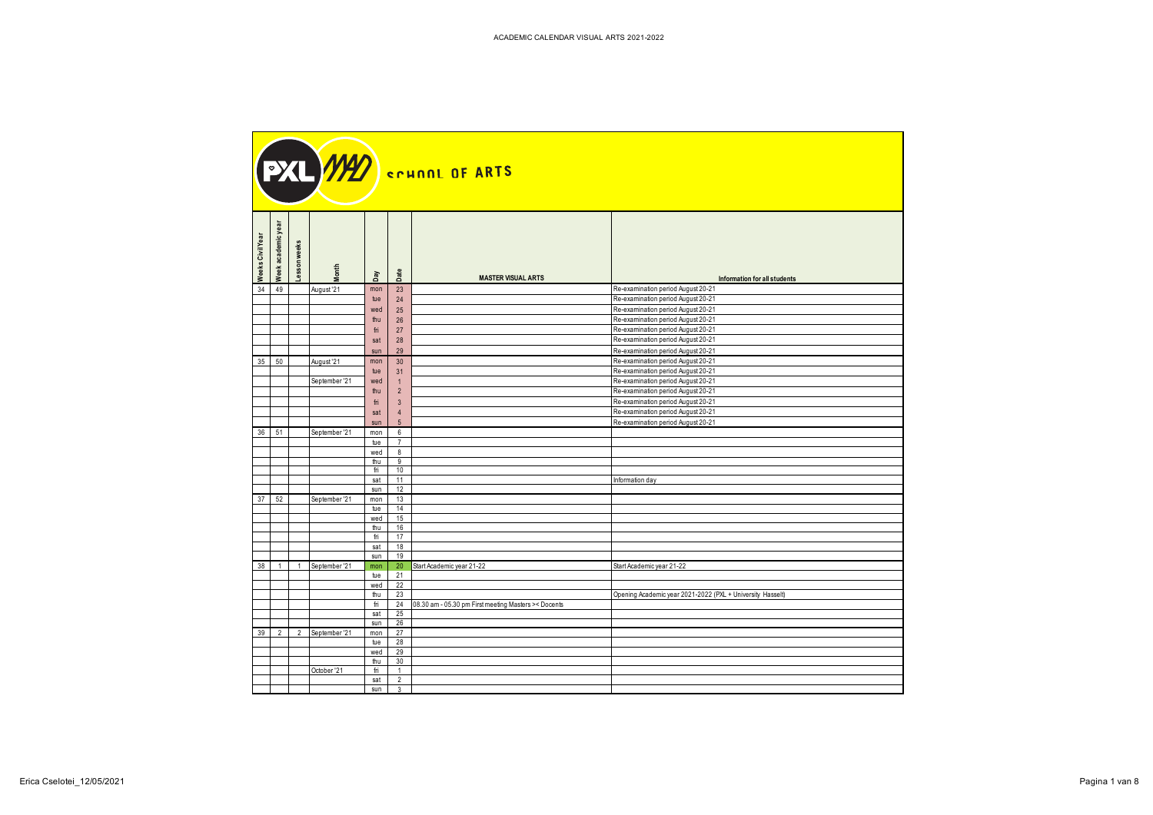| Week academic year<br>Weeks Civil Year | weeks<br>sson        | pay                  | Date                    | <b>MASTER VISUAL ARTS</b>                                         | Information for all students                                             |
|----------------------------------------|----------------------|----------------------|-------------------------|-------------------------------------------------------------------|--------------------------------------------------------------------------|
| 34 49                                  | August '21           | mon                  | 23                      |                                                                   | Re-examination period August 20-21                                       |
|                                        |                      | tue<br>wed           | 24<br>25                |                                                                   | Re-examination period August 20-21<br>Re-examination period August 20-21 |
|                                        |                      | thu                  | 26                      |                                                                   | Re-examination period August 20-21                                       |
|                                        |                      | fri                  | 27                      |                                                                   | Re-examination period August 20-21                                       |
|                                        |                      | sat                  | 28                      |                                                                   | Re-examination period August 20-21                                       |
|                                        |                      | sun                  | 29                      |                                                                   | Re-examination period August 20-21                                       |
| $35 \overline{\smash{\big)}\ 50}$      | August '21           | mon<br>tue           | 30<br>31                |                                                                   | Re-examination period August 20-21<br>Re-examination period August 20-21 |
|                                        | September '21        | wed                  |                         |                                                                   | Re-examination period August 20-21                                       |
|                                        |                      | thu                  | $\overline{2}$          |                                                                   | Re-examination period August 20-21                                       |
|                                        |                      | fri                  | $\overline{\mathbf{3}}$ |                                                                   | Re-examination period August 20-21                                       |
|                                        |                      | sat                  | -4<br>5 <sup>5</sup>    |                                                                   | Re-examination period August 20-21                                       |
| 36 51                                  | September '21        | sun<br>mon           | 6                       |                                                                   | Re-examination period August 20-21                                       |
|                                        |                      | tue                  | $\overline{7}$          |                                                                   |                                                                          |
|                                        |                      | wed                  | 8                       |                                                                   |                                                                          |
|                                        |                      | thu<br>fri           | 9<br>10                 |                                                                   |                                                                          |
|                                        |                      | sat                  | 11                      |                                                                   | Information day                                                          |
|                                        |                      | sun                  | 12                      |                                                                   |                                                                          |
| $37$ 52                                | September '21        | mon<br>tue           | 13<br>14                |                                                                   |                                                                          |
|                                        |                      | wed                  | 15                      |                                                                   |                                                                          |
|                                        |                      | thu                  | 16                      |                                                                   |                                                                          |
|                                        |                      | fri<br>sat           | 17<br>18                |                                                                   |                                                                          |
|                                        |                      | sun                  | 19                      |                                                                   |                                                                          |
|                                        |                      |                      |                         | 38   1   1   September '21   mon   20   Start Academic year 21-22 | Start Academic year 21-22                                                |
|                                        |                      | tue $21$             |                         |                                                                   |                                                                          |
|                                        |                      | wed $22$<br>thu $23$ |                         |                                                                   | Opening Academic year 2021-2022 (PXL + University Hasselt)               |
|                                        |                      |                      |                         | fri   24   08.30 am - 05.30 pm First meeting Masters >< Docents   |                                                                          |
|                                        |                      | $sat$ 25<br>sun $26$ |                         |                                                                   |                                                                          |
|                                        | 39 2 2 September '21 | mon 27               |                         |                                                                   |                                                                          |
|                                        |                      | tue 28               |                         |                                                                   |                                                                          |
|                                        |                      | wed 29               |                         |                                                                   |                                                                          |
|                                        | October '21          | thu 30<br>fri        | $\overline{1}$          |                                                                   |                                                                          |
|                                        |                      | $sat$ 2              |                         |                                                                   |                                                                          |
|                                        |                      | sun 3                |                         |                                                                   |                                                                          |

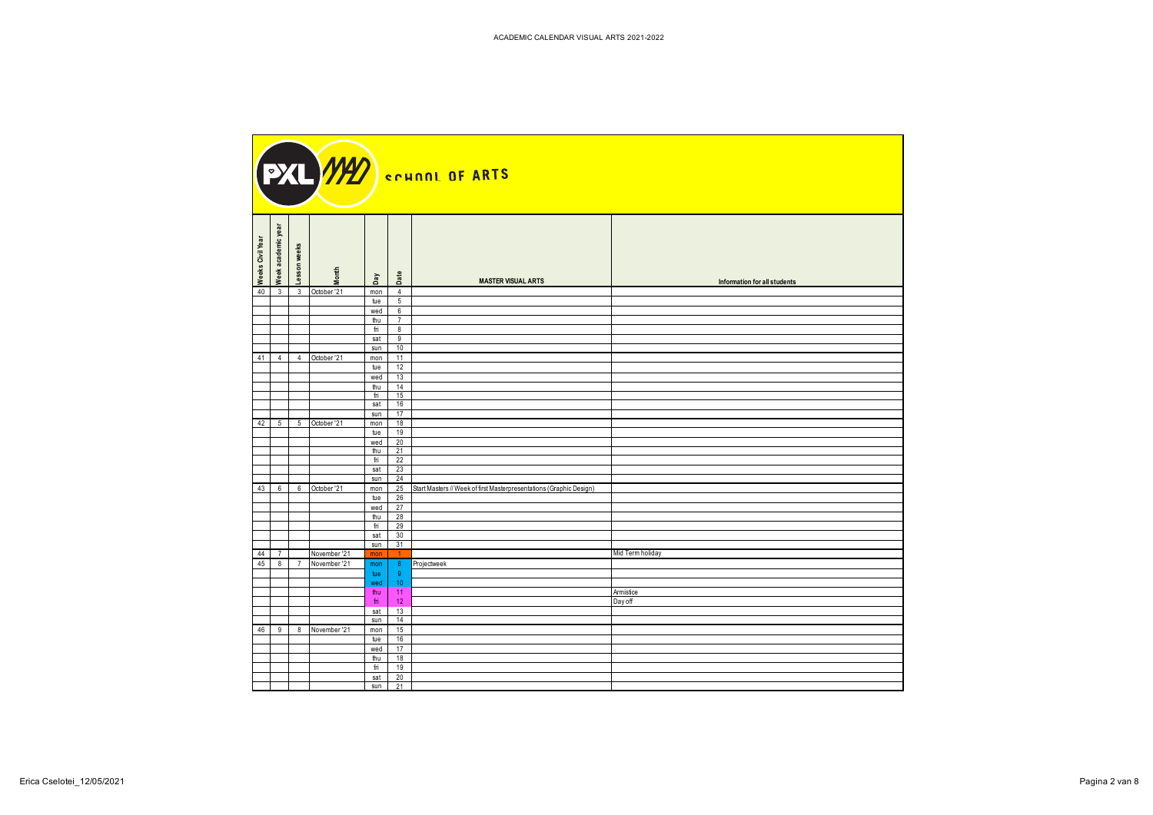| Week academic year<br>Weeks Civil Year | weeks<br>$\overline{5}$              | onth | Date<br>$\mathbf{p}$                                                                      | <b>MASTER VISUAL ARTS</b>                                                  | Information for all students |
|----------------------------------------|--------------------------------------|------|-------------------------------------------------------------------------------------------|----------------------------------------------------------------------------|------------------------------|
|                                        | 40 3 3 October '21                   |      | mon<br>$\overline{4}$<br>5 <sup>5</sup><br>tue                                            |                                                                            |                              |
|                                        |                                      |      | wed 6                                                                                     |                                                                            |                              |
|                                        |                                      |      | thu $7$<br>8<br>fri                                                                       |                                                                            |                              |
|                                        |                                      |      | sat 9                                                                                     |                                                                            |                              |
|                                        |                                      |      | sun 10                                                                                    |                                                                            |                              |
|                                        | 41 4 4 October '21                   |      | $mon$ 11<br>12<br>tue                                                                     |                                                                            |                              |
|                                        |                                      |      | wed 13                                                                                    |                                                                            |                              |
|                                        |                                      |      | 14<br>thu<br>$fri$ 15                                                                     |                                                                            |                              |
|                                        |                                      |      | sat 16                                                                                    |                                                                            |                              |
|                                        | 42 5 5 October '21                   |      | sun 17<br>mon 18                                                                          |                                                                            |                              |
|                                        |                                      |      | 19<br>tue                                                                                 |                                                                            |                              |
|                                        |                                      |      | wed 20<br>thu $21$                                                                        |                                                                            |                              |
|                                        |                                      |      | 22<br>fri                                                                                 |                                                                            |                              |
|                                        |                                      |      | $sat$ 23<br>sun 24                                                                        |                                                                            |                              |
|                                        | 43 6 6 October '21                   |      |                                                                                           | mon 25 Start Masters // Week of first Masterpresentations (Graphic Design) |                              |
|                                        |                                      |      | tue 26                                                                                    |                                                                            |                              |
|                                        |                                      |      | wed 27<br>thu 28                                                                          |                                                                            |                              |
|                                        |                                      |      | fri 29                                                                                    |                                                                            |                              |
|                                        |                                      |      | sat 30<br>$sun$ 31                                                                        |                                                                            |                              |
| 44 7                                   | November '21                         |      | mon<br>$-1$                                                                               |                                                                            | Mid Term holiday             |
|                                        | 45 8 7 November 21 mon 8 Projectweek |      |                                                                                           |                                                                            |                              |
|                                        |                                      |      | tue<br>wed<br>10                                                                          |                                                                            |                              |
|                                        |                                      |      | $-11$<br>thu                                                                              |                                                                            | Armistice                    |
|                                        |                                      |      | 12<br>fri<br>$\overline{13}$<br>sat                                                       |                                                                            | Day off                      |
|                                        |                                      |      | sun 14                                                                                    |                                                                            |                              |
|                                        | 46 9 8 November '21                  |      | 15<br>mon<br>16<br>tue                                                                    |                                                                            |                              |
|                                        |                                      |      | 17<br>wed                                                                                 |                                                                            |                              |
|                                        |                                      |      | thu 18<br>fri 19                                                                          |                                                                            |                              |
|                                        |                                      |      | $\begin{array}{ c c c }\n\hline\n\text{sat} & 20 \\ \hline\n\text{sun} & 21\n\end{array}$ |                                                                            |                              |
|                                        |                                      |      |                                                                                           |                                                                            |                              |

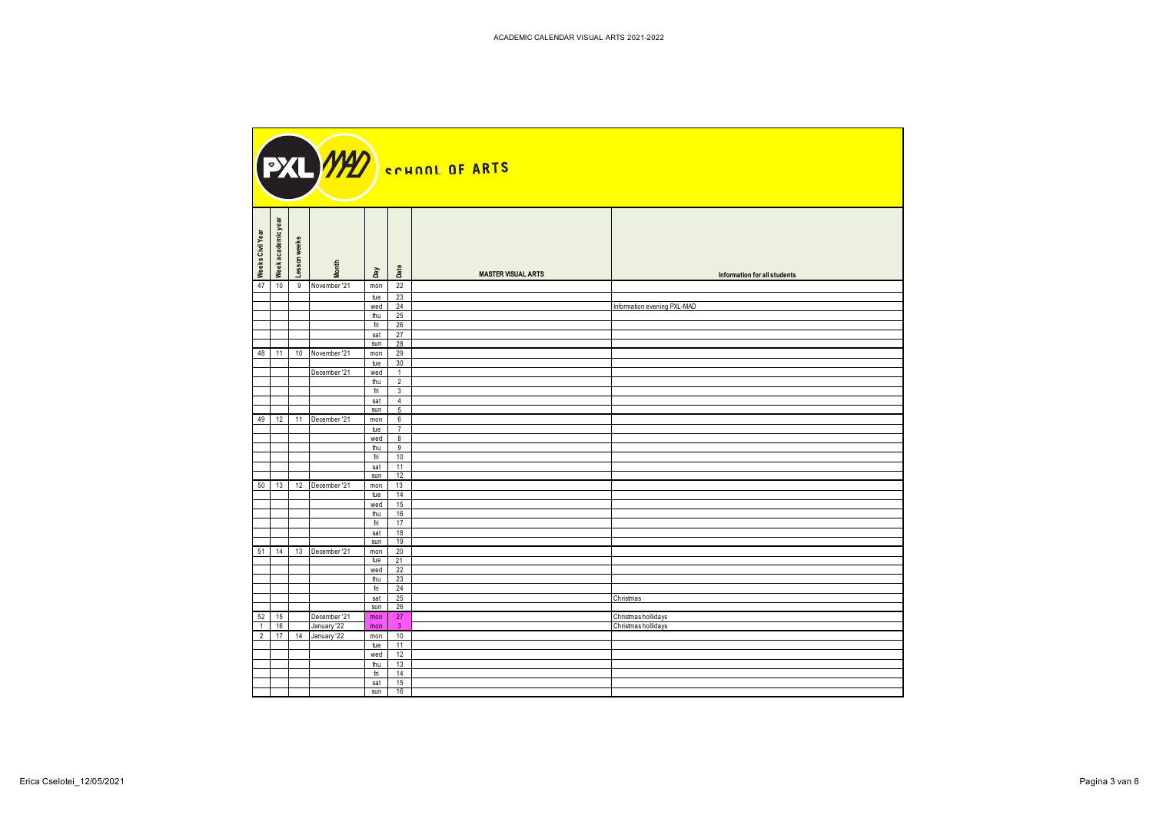| nic year<br>Weeks Civil Year<br>weeks<br>Week academ<br>esson | <b>Month</b> | Date<br>Day                                                                                   | <b>MASTER VISUAL ARTS</b> | Information for all students |
|---------------------------------------------------------------|--------------|-----------------------------------------------------------------------------------------------|---------------------------|------------------------------|
| 47<br>10 9 November '21                                       |              | 22<br>mon                                                                                     |                           |                              |
|                                                               |              | 23<br>tue<br>wed 24                                                                           |                           | Information evening PXL-MAD  |
|                                                               |              | 25<br>thu                                                                                     |                           |                              |
|                                                               |              | 26<br>fri                                                                                     |                           |                              |
|                                                               |              | 27<br>sat<br>$sun$ 28                                                                         |                           |                              |
| 48 11 10 November '21                                         |              | mon 29                                                                                        |                           |                              |
|                                                               | December '21 | 30<br>tue<br>wed<br>$\overline{1}$                                                            |                           |                              |
|                                                               |              | thu<br>$\overline{2}$                                                                         |                           |                              |
|                                                               |              | $\overline{\mathbf{3}}$<br>fri                                                                |                           |                              |
|                                                               |              | sat<br>$\overline{4}$<br>sun  <br>$5^{\circ}$                                                 |                           |                              |
| 49 12 11 December '21                                         |              | $mon$ 6                                                                                       |                           |                              |
|                                                               |              | tue 7                                                                                         |                           |                              |
|                                                               |              | wed<br>8 <sup>8</sup><br>thu<br>9                                                             |                           |                              |
|                                                               |              | 10<br>fri                                                                                     |                           |                              |
|                                                               |              | 11<br>sat<br>12<br>sun                                                                        |                           |                              |
| 50   13   12   December '21                                   |              | 13<br>mon                                                                                     |                           |                              |
|                                                               |              | tue $14$                                                                                      |                           |                              |
|                                                               |              | wed 15<br>16<br>thu                                                                           |                           |                              |
|                                                               |              | 17<br>fri                                                                                     |                           |                              |
|                                                               |              | 18<br>sat<br>19                                                                               |                           |                              |
| 51   14   13   December '21                                   |              | sun<br>mon 20                                                                                 |                           |                              |
|                                                               |              | $\frac{1}{21}$                                                                                |                           |                              |
|                                                               |              | wed 22<br>thu $\begin{array}{ c c } 23 \end{array}$                                           |                           |                              |
|                                                               |              | $\begin{array}{ c c } \hline \text{fri} & 24 \\ \hline \text{sat} & 25 \\ \hline \end{array}$ |                           |                              |
|                                                               |              |                                                                                               |                           | Christmas                    |
| 52 15                                                         | December '21 | $sun$ 26                                                                                      |                           | Christmas hollidays          |
| $1 \mid 16$                                                   | January '22  | $\begin{array}{ c c c }\n\hline\n\text{mon} & 27 \\ \hline\n\text{mon} & 3\n\end{array}$      |                           | Christmas hollidays          |
| 2   17   14   January 22                                      |              | mon 10<br>tue 11                                                                              |                           |                              |
|                                                               |              | wed $12$                                                                                      |                           |                              |
|                                                               |              | 13<br>thu                                                                                     |                           |                              |
|                                                               |              | 14<br>fri<br>15<br>sat                                                                        |                           |                              |
|                                                               |              | sun 16                                                                                        |                           |                              |

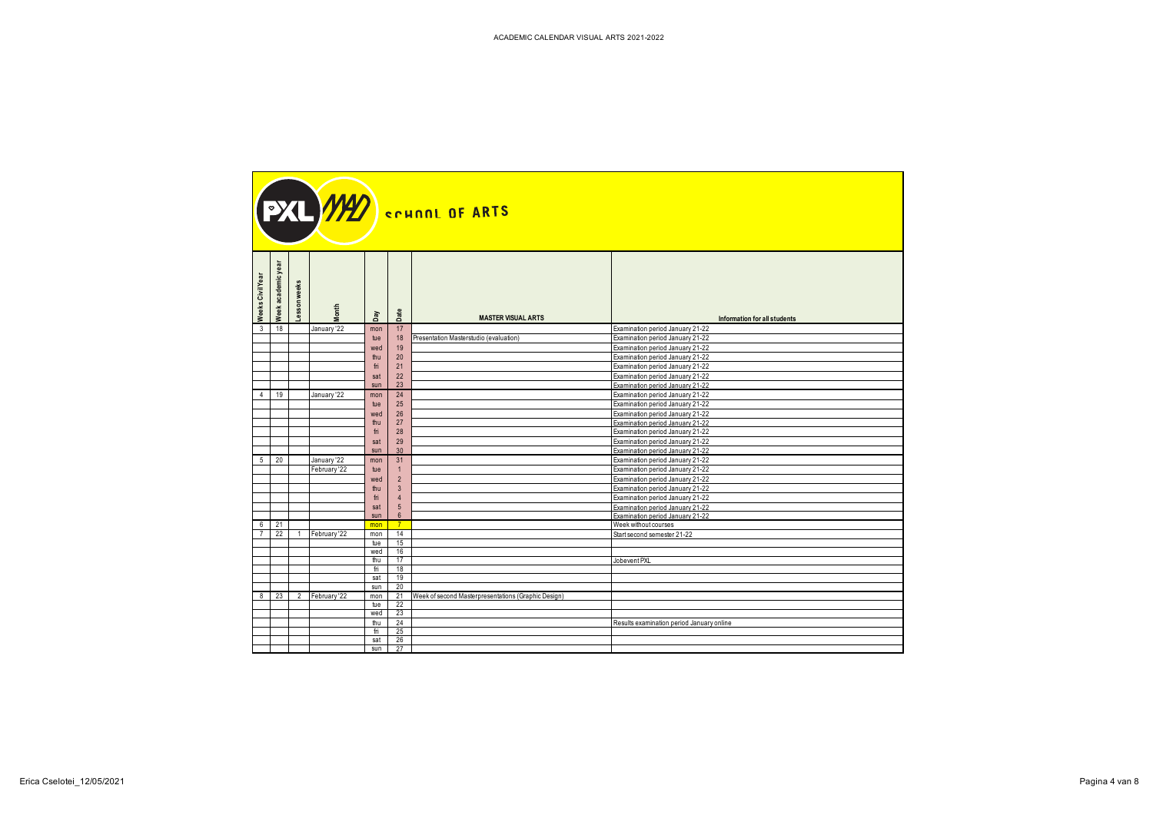| Week academic year<br>Weeks Civil Year<br>eks<br>₹<br>sson |              | Led                  | Date                | <b>MASTER VISUAL ARTS</b>                                      | Information for all students                                         |
|------------------------------------------------------------|--------------|----------------------|---------------------|----------------------------------------------------------------|----------------------------------------------------------------------|
| $3 \quad 18$                                               | January '22  | mon                  | 17                  |                                                                | Examination period January 21-22                                     |
|                                                            |              | tue                  | 18                  | Presentation Masterstudio (evaluation)                         | Examination period January 21-22                                     |
|                                                            |              | wed                  | 19                  |                                                                | Examination period January 21-22                                     |
|                                                            |              | thu                  | 20                  |                                                                | Examination period January 21-22                                     |
|                                                            |              | fri                  | 21                  |                                                                | Examination period January 21-22                                     |
|                                                            |              | sat                  | 22                  |                                                                | Examination period January 21-22                                     |
|                                                            |              | sun                  | 23                  |                                                                | Examination period January 21-22                                     |
| 4 19                                                       | January '22  | mon                  | 24                  |                                                                | Examination period January 21-22                                     |
|                                                            |              | tue                  | 25                  |                                                                | Examination period January 21-22                                     |
|                                                            |              | wed<br>thu           | $26\,$<br>$27$      |                                                                | Examination period January 21-22<br>Examination period January 21-22 |
|                                                            |              | fri                  | 28                  |                                                                | Examination period January 21-22                                     |
|                                                            |              | sat                  | 29                  |                                                                | Examination period January 21-22                                     |
|                                                            |              | sun                  | 30 <sup>°</sup>     |                                                                | Examination period January 21-22                                     |
| $5 \quad 20$                                               | January '22  | mon                  | 31                  |                                                                | Examination period January 21-22                                     |
|                                                            | February '22 | tue                  |                     |                                                                | Examination period January 21-22                                     |
|                                                            |              | wed                  | $\overline{2}$      |                                                                | Examination period January 21-22                                     |
|                                                            |              | thu                  | -3                  |                                                                | Examination period January 21-22                                     |
|                                                            |              | fri                  | $\overline{4}$      |                                                                | Examination period January 21-22                                     |
|                                                            |              | sat<br>sun           | 5 <sup>5</sup><br>6 |                                                                | Examination period January 21-22<br>Examination period January 21-22 |
| $6 \t 21$                                                  |              | mon                  | $-7$                |                                                                | Week without courses                                                 |
| 7 22 1 February 22                                         |              | mon 14               |                     |                                                                | Start second semester 21-22                                          |
|                                                            |              | tue $15$             |                     |                                                                |                                                                      |
|                                                            |              | wed 16               |                     |                                                                |                                                                      |
|                                                            |              | thu $\vert$<br>fri   | 17<br>18            |                                                                | Jobevent PXL                                                         |
|                                                            |              | sat 19               |                     |                                                                |                                                                      |
|                                                            |              | sun                  | 20                  |                                                                |                                                                      |
| 8 23 2 February 22                                         |              |                      |                     | mon   21   Week of second Masterpresentations (Graphic Design) |                                                                      |
|                                                            |              | tue 22               |                     |                                                                |                                                                      |
|                                                            |              | wed 23               |                     |                                                                |                                                                      |
|                                                            |              | thu $24$<br>fri $25$ |                     |                                                                | Results examination period January online                            |
|                                                            |              | $sat$ 26             |                     |                                                                |                                                                      |
|                                                            |              | sun 27               |                     |                                                                |                                                                      |

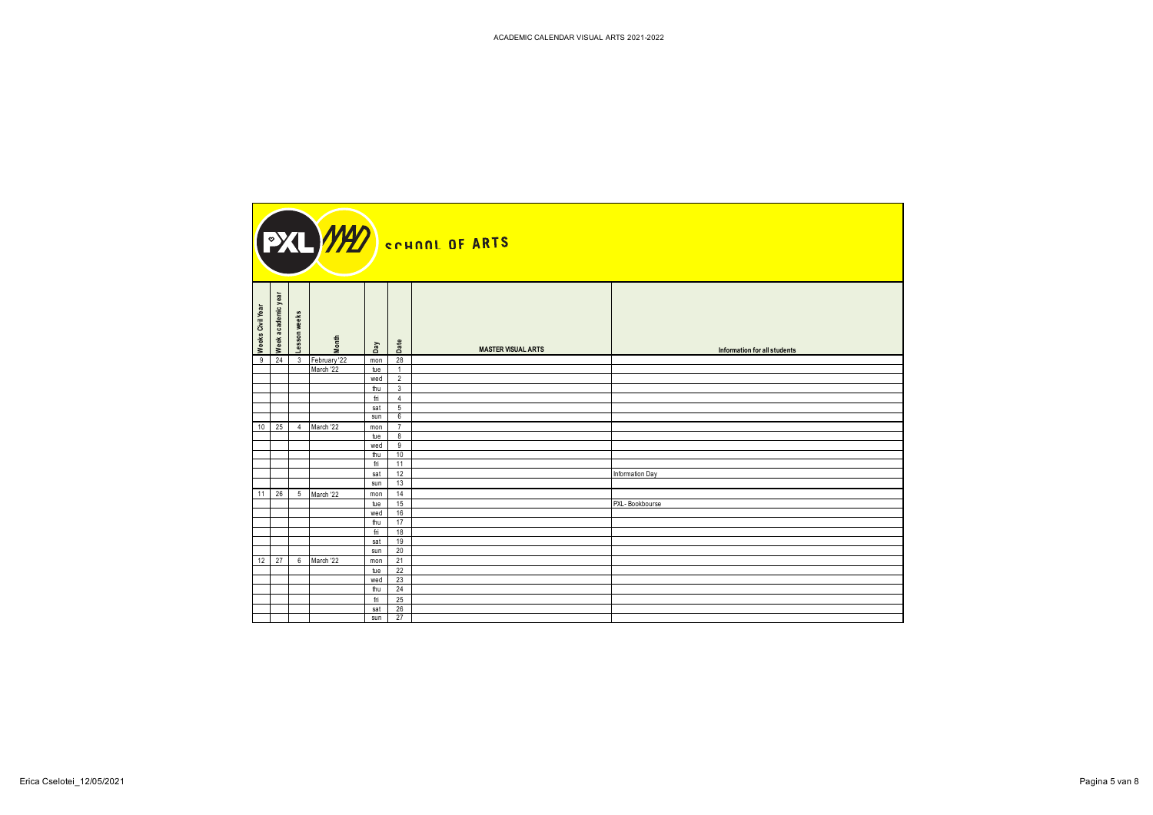| 9 24 3 February 22<br>mon 28                                  | Information for all students |
|---------------------------------------------------------------|------------------------------|
|                                                               |                              |
| March '22<br>tue<br>$\overline{1}$<br>wed<br>$\overline{2}$   |                              |
| thu<br>3 <sup>3</sup>                                         |                              |
| $\overline{4}$<br>fri                                         |                              |
| sat<br>$5\overline{)}$                                        |                              |
| sun<br>$6\overline{6}$<br>10 25 4 March '22<br>$\overline{7}$ |                              |
| mon<br>tue 8                                                  |                              |
| wed 9                                                         |                              |
| thu 10                                                        |                              |
| 11<br>fri                                                     |                              |
| 12<br>Information Day<br>sat<br>13<br>sun                     |                              |
| 11 26 5 March '22<br>14<br>mon                                |                              |
| 15<br>PXL-Bookbourse<br>tue                                   |                              |
| 16<br>wed                                                     |                              |
| thu<br>17                                                     |                              |
| 18<br>fri<br>19<br>sat                                        |                              |
| sun 20                                                        |                              |
| 12   27   6   March '22<br>$mon$ 21                           |                              |
| tue 22                                                        |                              |
| wed 23                                                        |                              |
| thu $24$<br>25                                                |                              |
| fri<br>$sat$ 26                                               |                              |
| $sun$ 27                                                      |                              |

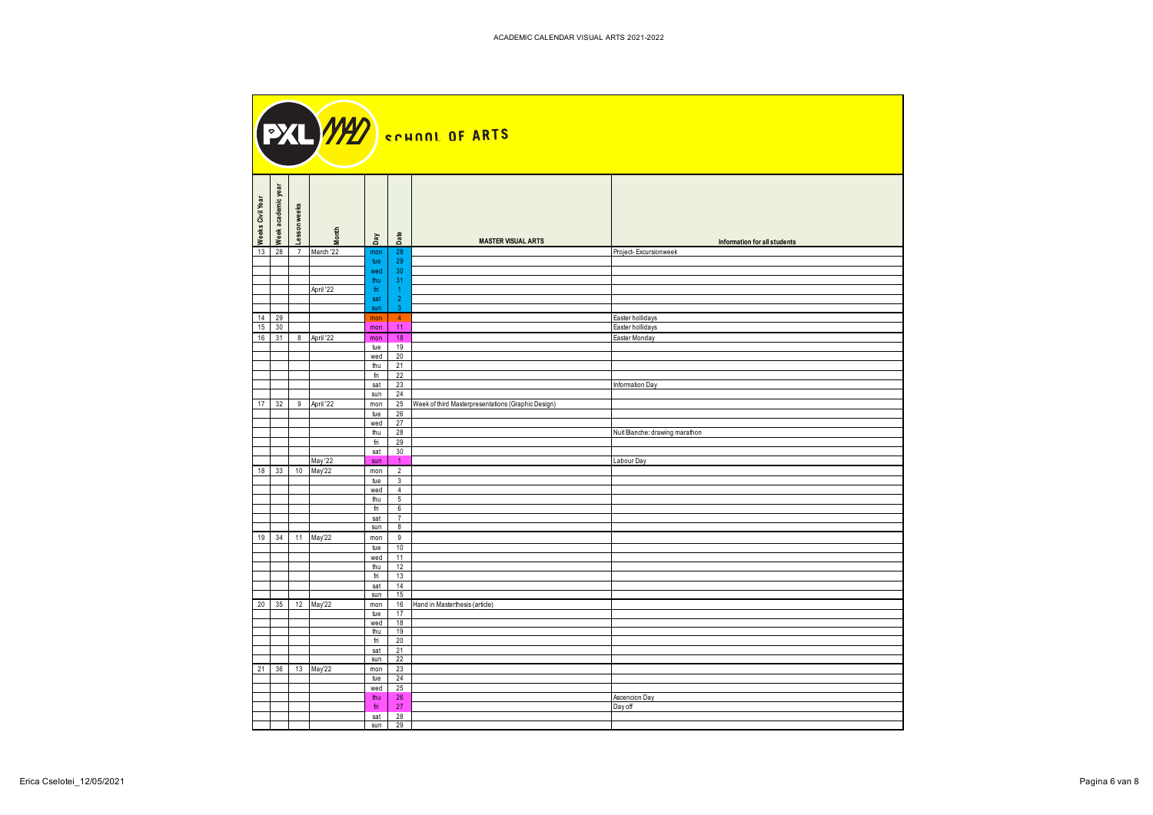| Week academic year<br>Weeks Civil Year<br>eks<br>₹<br>Lesson | Month<br>Date<br>Day                           |                                                         |                                                       |  |
|--------------------------------------------------------------|------------------------------------------------|---------------------------------------------------------|-------------------------------------------------------|--|
| $13$ 28<br>March '22<br>$\overline{7}$                       | 28<br>mon                                      | <b>MASTER VISUAL ARTS</b>                               | Information for all students<br>Project-Excursionweek |  |
|                                                              | 29<br>tue                                      |                                                         |                                                       |  |
|                                                              | 30<br>wed                                      |                                                         |                                                       |  |
| April '22                                                    | 31<br>thu<br>fri.                              |                                                         |                                                       |  |
|                                                              | sat<br>$\overline{2}$                          |                                                         |                                                       |  |
|                                                              | sun<br>-3                                      |                                                         |                                                       |  |
| 14 29<br>$15 \overline{\smash{\big)}\ 30}$                   | $\sim$ 4<br>mon<br>11<br>mon                   |                                                         | Easter hollidays<br>Easter hollidays                  |  |
| 16 31 8 April 22                                             | 18<br>mon                                      |                                                         | Easter Monday                                         |  |
|                                                              | 19<br>tue                                      |                                                         |                                                       |  |
|                                                              | 20<br>wed<br>21<br>thu                         |                                                         |                                                       |  |
|                                                              | 22<br>fri                                      |                                                         |                                                       |  |
|                                                              | $sat$ 23                                       |                                                         | Information Day                                       |  |
| 17 32 9 April 22                                             | 24<br>sun<br>mon                               | 25   Week of third Masterpresentations (Graphic Design) |                                                       |  |
|                                                              | tue 26                                         |                                                         |                                                       |  |
|                                                              | wed 27                                         |                                                         |                                                       |  |
|                                                              | 28<br>thu<br>29<br>fri                         |                                                         | Nuit Blanche: drawing marathon                        |  |
|                                                              | 30<br>sat                                      |                                                         |                                                       |  |
| May '22                                                      | $\overline{1}$<br>sun                          |                                                         | Labour Day                                            |  |
| 18 33 10 May'22                                              | $\overline{2}$<br>mon<br>tue<br>3 <sup>3</sup> |                                                         |                                                       |  |
|                                                              | wed<br>$\overline{4}$                          |                                                         |                                                       |  |
|                                                              | thu<br>$5\overline{)}$<br>fri $\vert 6$        |                                                         |                                                       |  |
|                                                              | sat 7                                          |                                                         |                                                       |  |
|                                                              | sum 8                                          |                                                         |                                                       |  |
| 19 34 11 May'22                                              | mon 9<br>tue $10$                              |                                                         |                                                       |  |
|                                                              | wed $11$                                       |                                                         |                                                       |  |
|                                                              | thu $12$                                       |                                                         |                                                       |  |
|                                                              | 13<br>fri<br>14<br>sat                         |                                                         |                                                       |  |
|                                                              | 15<br>sun                                      |                                                         |                                                       |  |
| 20 35 12 May'22                                              | mon<br>tue 17                                  | 16 Hand in Masterthesis (article)                       |                                                       |  |
|                                                              | wed 18                                         |                                                         |                                                       |  |
|                                                              | 19<br>thu<br>20<br>fri                         |                                                         |                                                       |  |
|                                                              | $sat$ 21                                       |                                                         |                                                       |  |
|                                                              | $sun$ 22                                       |                                                         |                                                       |  |
| 21 36 13 May'22                                              | mon 23<br>24<br>tue                            |                                                         |                                                       |  |
|                                                              |                                                |                                                         |                                                       |  |
|                                                              | wed 25<br>thu 26<br>fri 27<br>sat 28           |                                                         | Ascencion Day                                         |  |
|                                                              |                                                |                                                         | Day off                                               |  |
|                                                              | sun $29$                                       |                                                         |                                                       |  |

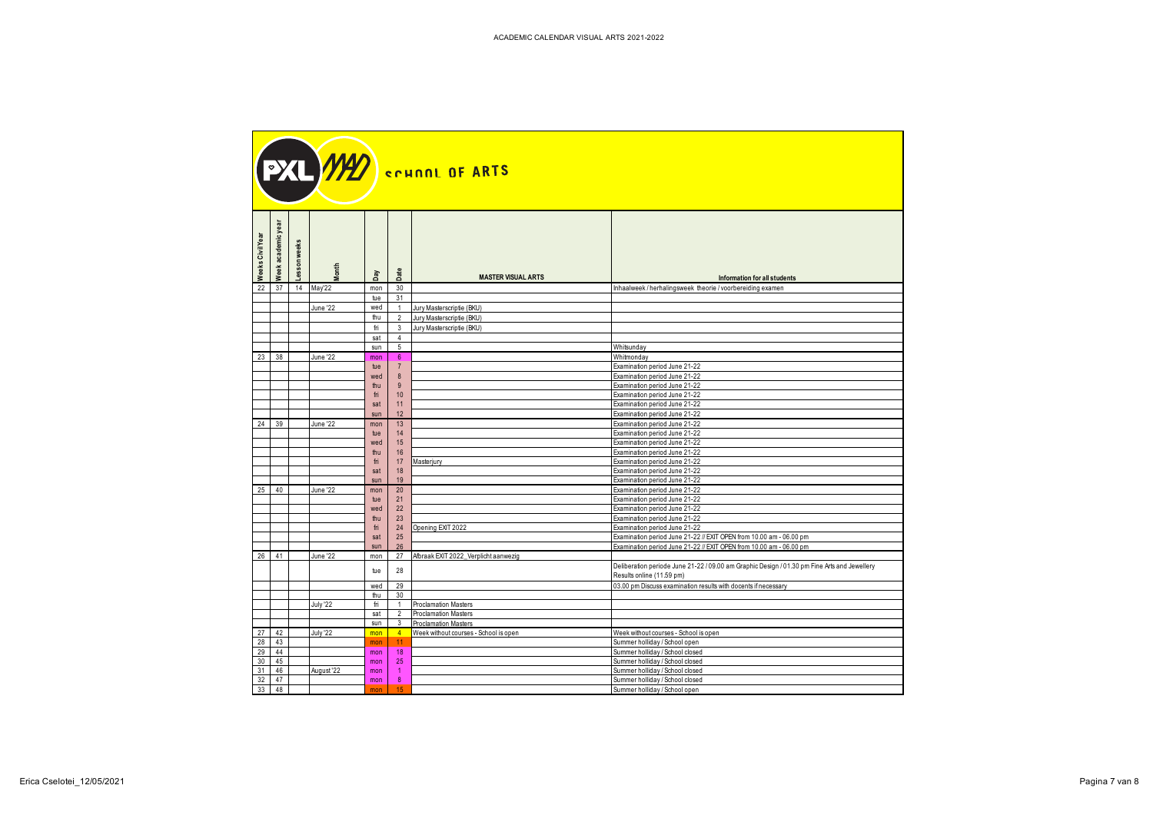| Week academic year<br>eks Civil Year<br>weeks<br>$\mathsf{son}$<br>onth<br>៖ | Day        | Date                  | <b>MASTER VISUAL ARTS</b>                                             | Information for all students                                                                 |
|------------------------------------------------------------------------------|------------|-----------------------|-----------------------------------------------------------------------|----------------------------------------------------------------------------------------------|
| 22 37 14 May'22                                                              | mon        | 30<br>31              |                                                                       | Inhaalweek / herhalingsweek theorie / voorbereiding examen                                   |
| June '22                                                                     | tue<br>wed | $\overline{1}$        | Jury Masterscriptie (BKU)                                             |                                                                                              |
|                                                                              | thu l      |                       | 2 Jury Masterscriptie (BKU)                                           |                                                                                              |
|                                                                              | fri        |                       | 3 Jury Masterscriptie (BKU)                                           |                                                                                              |
|                                                                              | sat        | $\overline{4}$        |                                                                       |                                                                                              |
|                                                                              | sun        | $5^{\circ}$           |                                                                       | Whitsunday                                                                                   |
| $23 \mid 38 \mid$<br>June '22                                                | mon<br>tue | - 6<br>$\overline{7}$ |                                                                       | Whitmonday<br>Examination period June 21-22                                                  |
|                                                                              | wed        | 8                     |                                                                       | Examination period June 21-22                                                                |
|                                                                              | thu        | - 9                   |                                                                       | Examination period June 21-22                                                                |
|                                                                              | fri        | 10                    |                                                                       | Examination period June 21-22                                                                |
|                                                                              | sat        | 11                    |                                                                       | Examination period June 21-22                                                                |
| $24 \mid 39 \mid$<br>June '22                                                | sun        | 12<br>13              |                                                                       | Examination period June 21-22<br>Examination period June 21-22                               |
|                                                                              | mon<br>tue | 14                    |                                                                       | Examination period June 21-22                                                                |
|                                                                              | wed        | 15                    |                                                                       | Examination period June 21-22                                                                |
|                                                                              | thu        | 16                    |                                                                       | Examination period June 21-22                                                                |
|                                                                              | fri        | 17                    | Masterjury                                                            | Examination period June 21-22                                                                |
|                                                                              | sat<br>sun | 18<br>19              |                                                                       | Examination period June 21-22<br>Examination period June 21-22                               |
| 25 40<br>June '22                                                            | mon        | 20                    |                                                                       | Examination period June 21-22                                                                |
|                                                                              | tue        | 21                    |                                                                       | Examination period June 21-22                                                                |
|                                                                              | wed        | 22                    |                                                                       | Examination period June 21-22                                                                |
|                                                                              | thu<br>fri | 23<br>24              | Opening EXIT 2022                                                     | Examination period June 21-22<br>Examination period June 21-22                               |
|                                                                              | sat        | 25                    |                                                                       | Examination period June 21-22 // EXIT OPEN from 10.00 am - 06.00 pm                          |
|                                                                              | sun        | 26                    |                                                                       | Examination period June 21-22 // EXIT OPEN from 10.00 am - 06.00 pm                          |
| 26 41<br>June '22                                                            | mon        |                       | 27 Afbraak EXIT 2022_Verplicht aanwezig                               |                                                                                              |
|                                                                              | tue        | 28                    |                                                                       | Deliberation periode June 21-22 / 09.00 am Graphic Design / 01.30 pm Fine Arts and Jewellery |
|                                                                              | wed 29     |                       |                                                                       | Results online (11.59 pm)<br>03.00 pm Discuss examination results with docents if necessary  |
|                                                                              | thu        | 30                    |                                                                       |                                                                                              |
| July '22                                                                     | fri        |                       | 1 Proclamation Masters                                                |                                                                                              |
|                                                                              | sat I      |                       | 2 Proclamation Masters                                                |                                                                                              |
| $27 \mid 42 \mid$<br>July '22                                                |            |                       | sun 3 Proclamation Masters<br>4 Week without courses - School is open | Week without courses - School is open                                                        |
| 28 43                                                                        | mon        | 11                    |                                                                       | Summer holliday / School open                                                                |
| 29 44                                                                        | mon        | $18$                  |                                                                       | Summer holliday / School closed                                                              |
| 30 45                                                                        | mon        | 25                    |                                                                       | Summer holliday / School closed                                                              |
| $31 \mid 46 \mid$<br>August '22                                              | mon        | $\overline{1}$        |                                                                       | Summer holliday / School closed                                                              |
| $32 \quad 47$<br>$33 \t 48$                                                  | mon        | 8<br>15               |                                                                       | Summer holliday / School closed<br>Summer holliday / School open                             |